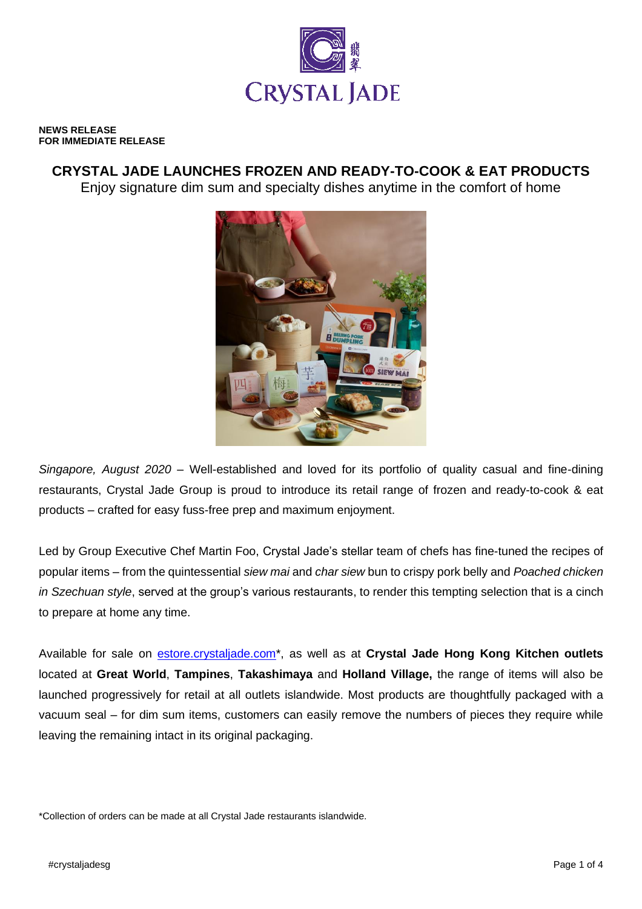

#### **NEWS RELEASE FOR IMMEDIATE RELEASE**

# **CRYSTAL JADE LAUNCHES FROZEN AND READY-TO-COOK & EAT PRODUCTS**

Enjoy signature dim sum and specialty dishes anytime in the comfort of home



*Singapore, August 2020* – Well-established and loved for its portfolio of quality casual and fine-dining restaurants, Crystal Jade Group is proud to introduce its retail range of frozen and ready-to-cook & eat products – crafted for easy fuss-free prep and maximum enjoyment.

Led by Group Executive Chef Martin Foo, Crystal Jade's stellar team of chefs has fine-tuned the recipes of popular items – from the quintessential *siew mai* and *char siew* bun to crispy pork belly and *Poached chicken in Szechuan style*, served at the group's various restaurants, to render this tempting selection that is a cinch to prepare at home any time.

Available for sale on [estore.crystaljade.com\\*](http://www.estore.crystaljade.com/), as well as at **Crystal Jade Hong Kong Kitchen outlets** located at **Great World**, **Tampines**, **Takashimaya** and **Holland Village,** the range of items will also be launched progressively for retail at all outlets islandwide. Most products are thoughtfully packaged with a vacuum seal – for dim sum items, customers can easily remove the numbers of pieces they require while leaving the remaining intact in its original packaging.

\*Collection of orders can be made at all Crystal Jade restaurants islandwide.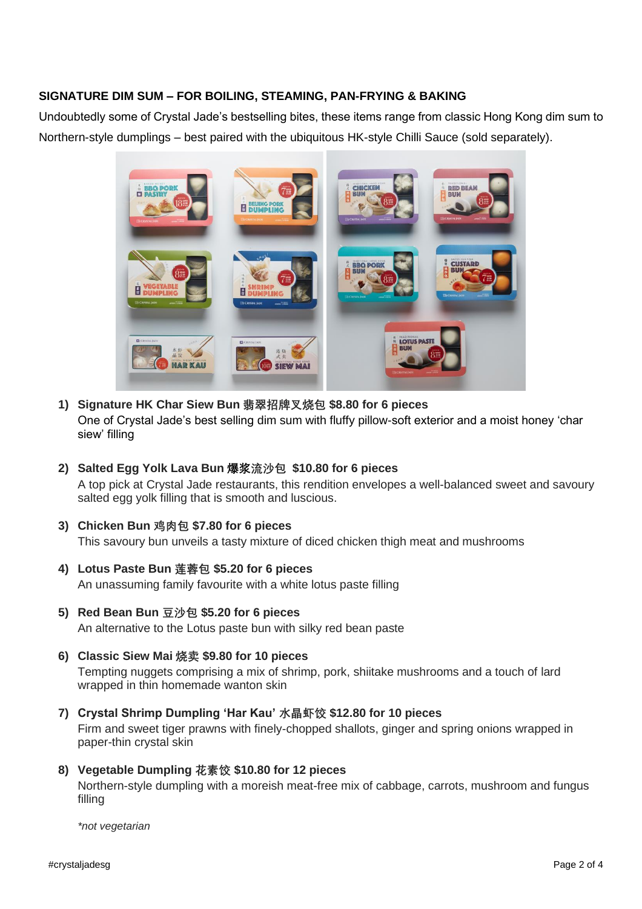## **SIGNATURE DIM SUM – FOR BOILING, STEAMING, PAN-FRYING & BAKING**

Undoubtedly some of Crystal Jade's bestselling bites, these items range from classic Hong Kong dim sum to Northern-style dumplings – best paired with the ubiquitous HK-style Chilli Sauce (sold separately).



- **1) Signature HK Char Siew Bun 翡翠招牌叉烧包 \$8.80 for 6 pieces** One of Crystal Jade's best selling dim sum with fluffy pillow-soft exterior and a moist honey 'char siew' filling
- **2) Salted Egg Yolk Lava Bun 爆浆流沙包 \$10.80 for 6 pieces** A top pick at Crystal Jade restaurants, this rendition envelopes a well-balanced sweet and savoury salted egg yolk filling that is smooth and luscious.
- **3) Chicken Bun 鸡肉包 \$7.80 for 6 pieces**

This savoury bun unveils a tasty mixture of diced chicken thigh meat and mushrooms

- **4) Lotus Paste Bun 莲蓉包 \$5.20 for 6 pieces** An unassuming family favourite with a white lotus paste filling
- **5) Red Bean Bun 豆沙包 \$5.20 for 6 pieces** An alternative to the Lotus paste bun with silky red bean paste
- **6) Classic Siew Mai 烧卖 \$9.80 for 10 pieces** Tempting nuggets comprising a mix of shrimp, pork, shiitake mushrooms and a touch of lard wrapped in thin homemade wanton skin
- **7) Crystal Shrimp Dumpling 'Har Kau' 水晶虾饺 \$12.80 for 10 pieces** Firm and sweet tiger prawns with finely-chopped shallots, ginger and spring onions wrapped in paper-thin crystal skin
- **8) Vegetable Dumpling 花素饺 \$10.80 for 12 pieces**

Northern-style dumpling with a moreish meat-free mix of cabbage, carrots, mushroom and fungus filling

*\*not vegetarian*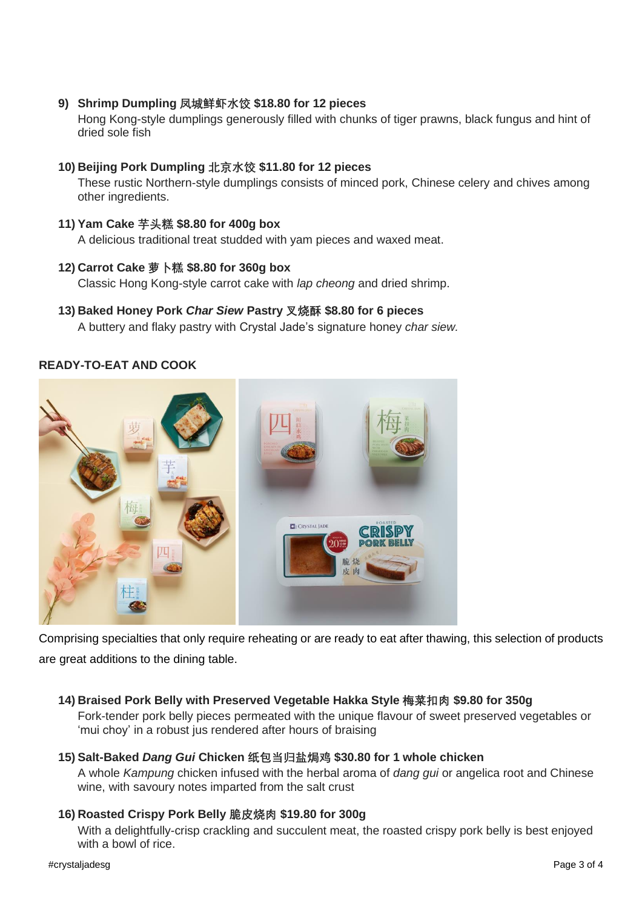**9) Shrimp Dumpling 凤城鲜虾水饺 \$18.80 for 12 pieces**

Hong Kong-style dumplings generously filled with chunks of tiger prawns, black fungus and hint of dried sole fish

## **10) Beijing Pork Dumpling 北京水饺 \$11.80 for 12 pieces**

These rustic Northern-style dumplings consists of minced pork, Chinese celery and chives among other ingredients.

## **11) Yam Cake 芋头糕 \$8.80 for 400g box**

A delicious traditional treat studded with yam pieces and waxed meat.

#### **12) Carrot Cake 萝卜糕 \$8.80 for 360g box**

Classic Hong Kong-style carrot cake with *lap cheong* and dried shrimp.

**13) Baked Honey Pork** *Char Siew* **Pastry 叉烧酥 \$8.80 for 6 pieces** A buttery and flaky pastry with Crystal Jade's signature honey *char siew.*

## **READY-TO-EAT AND COOK**



Comprising specialties that only require reheating or are ready to eat after thawing, this selection of products are great additions to the dining table.

## **14) Braised Pork Belly with Preserved Vegetable Hakka Style 梅菜扣肉 \$9.80 for 350g**

Fork-tender pork belly pieces permeated with the unique flavour of sweet preserved vegetables or 'mui choy' in a robust jus rendered after hours of braising

## **15) Salt-Baked** *Dang Gui* **Chicken 纸包当归盐焗鸡 \$30.80 for 1 whole chicken**

A whole *Kampung* chicken infused with the herbal aroma of *dang gui* or angelica root and Chinese wine, with savoury notes imparted from the salt crust

## **16) Roasted Crispy Pork Belly 脆皮烧肉 \$19.80 for 300g**

With a delightfully-crisp crackling and succulent meat, the roasted crispy pork belly is best enjoyed with a bowl of rice.